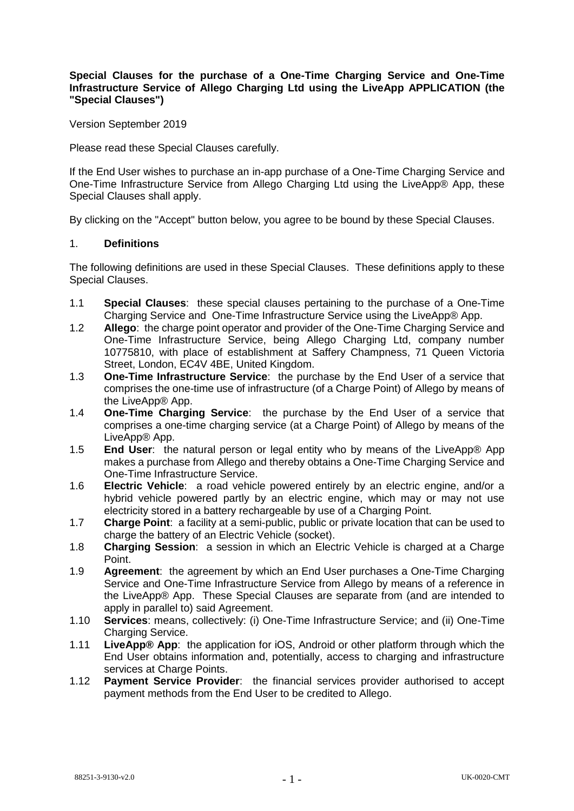# **Special Clauses for the purchase of a One-Time Charging Service and One-Time Infrastructure Service of Allego Charging Ltd using the LiveApp APPLICATION (the "Special Clauses")**

Version September 2019

Please read these Special Clauses carefully.

If the End User wishes to purchase an in-app purchase of a One-Time Charging Service and One-Time Infrastructure Service from Allego Charging Ltd using the LiveApp® App, these Special Clauses shall apply.

By clicking on the "Accept" button below, you agree to be bound by these Special Clauses.

### 1. **Definitions**

The following definitions are used in these Special Clauses. These definitions apply to these Special Clauses.

- 1.1 **Special Clauses**: these special clauses pertaining to the purchase of a One-Time Charging Service and One-Time Infrastructure Service using the LiveApp® App.
- 1.2 **Allego**: the charge point operator and provider of the One-Time Charging Service and One-Time Infrastructure Service, being Allego Charging Ltd, company number 10775810, with place of establishment at Saffery Champness, 71 Queen Victoria Street, London, EC4V 4BE, United Kingdom.
- 1.3 **One-Time Infrastructure Service**: the purchase by the End User of a service that comprises the one-time use of infrastructure (of a Charge Point) of Allego by means of the LiveApp® App.
- 1.4 **One-Time Charging Service**: the purchase by the End User of a service that comprises a one-time charging service (at a Charge Point) of Allego by means of the LiveApp® App.
- 1.5 **End User**: the natural person or legal entity who by means of the LiveApp® App makes a purchase from Allego and thereby obtains a One-Time Charging Service and One-Time Infrastructure Service.
- 1.6 **Electric Vehicle**: a road vehicle powered entirely by an electric engine, and/or a hybrid vehicle powered partly by an electric engine, which may or may not use electricity stored in a battery rechargeable by use of a Charging Point.
- 1.7 **Charge Point**: a facility at a semi-public, public or private location that can be used to charge the battery of an Electric Vehicle (socket).
- 1.8 **Charging Session**: a session in which an Electric Vehicle is charged at a Charge Point.
- 1.9 **Agreement**: the agreement by which an End User purchases a One-Time Charging Service and One-Time Infrastructure Service from Allego by means of a reference in the LiveApp® App. These Special Clauses are separate from (and are intended to apply in parallel to) said Agreement.
- 1.10 **Services**: means, collectively: (i) One-Time Infrastructure Service; and (ii) One-Time Charging Service.
- 1.11 **LiveApp® App**: the application for iOS, Android or other platform through which the End User obtains information and, potentially, access to charging and infrastructure services at Charge Points.
- 1.12 **Payment Service Provider**: the financial services provider authorised to accept payment methods from the End User to be credited to Allego.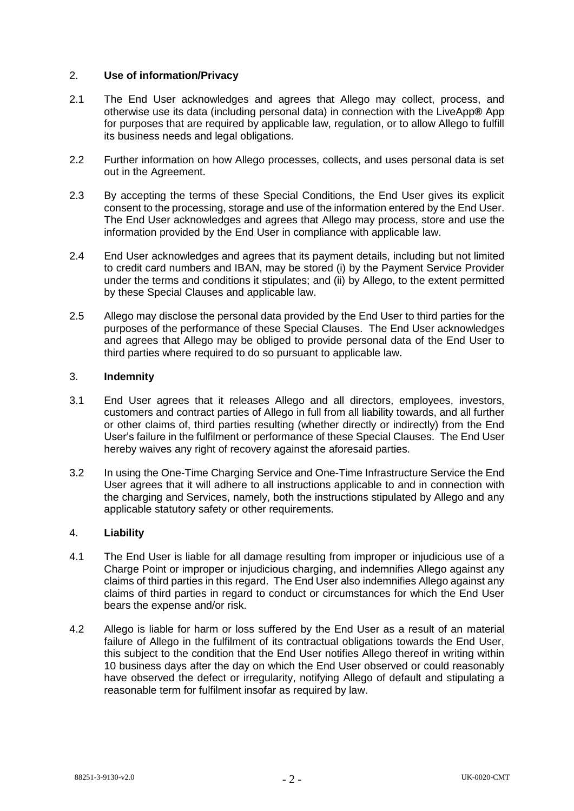# 2. **Use of information/Privacy**

- 2.1 The End User acknowledges and agrees that Allego may collect, process, and otherwise use its data (including personal data) in connection with the LiveApp**®** App for purposes that are required by applicable law, regulation, or to allow Allego to fulfill its business needs and legal obligations.
- 2.2 Further information on how Allego processes, collects, and uses personal data is set out in the Agreement.
- 2.3 By accepting the terms of these Special Conditions, the End User gives its explicit consent to the processing, storage and use of the information entered by the End User. The End User acknowledges and agrees that Allego may process, store and use the information provided by the End User in compliance with applicable law.
- 2.4 End User acknowledges and agrees that its payment details, including but not limited to credit card numbers and IBAN, may be stored (i) by the Payment Service Provider under the terms and conditions it stipulates; and (ii) by Allego, to the extent permitted by these Special Clauses and applicable law.
- 2.5 Allego may disclose the personal data provided by the End User to third parties for the purposes of the performance of these Special Clauses. The End User acknowledges and agrees that Allego may be obliged to provide personal data of the End User to third parties where required to do so pursuant to applicable law.

### 3. **Indemnity**

- 3.1 End User agrees that it releases Allego and all directors, employees, investors, customers and contract parties of Allego in full from all liability towards, and all further or other claims of, third parties resulting (whether directly or indirectly) from the End User's failure in the fulfilment or performance of these Special Clauses. The End User hereby waives any right of recovery against the aforesaid parties.
- 3.2 In using the One-Time Charging Service and One-Time Infrastructure Service the End User agrees that it will adhere to all instructions applicable to and in connection with the charging and Services, namely, both the instructions stipulated by Allego and any applicable statutory safety or other requirements.

# 4. **Liability**

- 4.1 The End User is liable for all damage resulting from improper or injudicious use of a Charge Point or improper or injudicious charging, and indemnifies Allego against any claims of third parties in this regard. The End User also indemnifies Allego against any claims of third parties in regard to conduct or circumstances for which the End User bears the expense and/or risk.
- <span id="page-1-0"></span>4.2 Allego is liable for harm or loss suffered by the End User as a result of an material failure of Allego in the fulfilment of its contractual obligations towards the End User, this subject to the condition that the End User notifies Allego thereof in writing within 10 business days after the day on which the End User observed or could reasonably have observed the defect or irregularity, notifying Allego of default and stipulating a reasonable term for fulfilment insofar as required by law.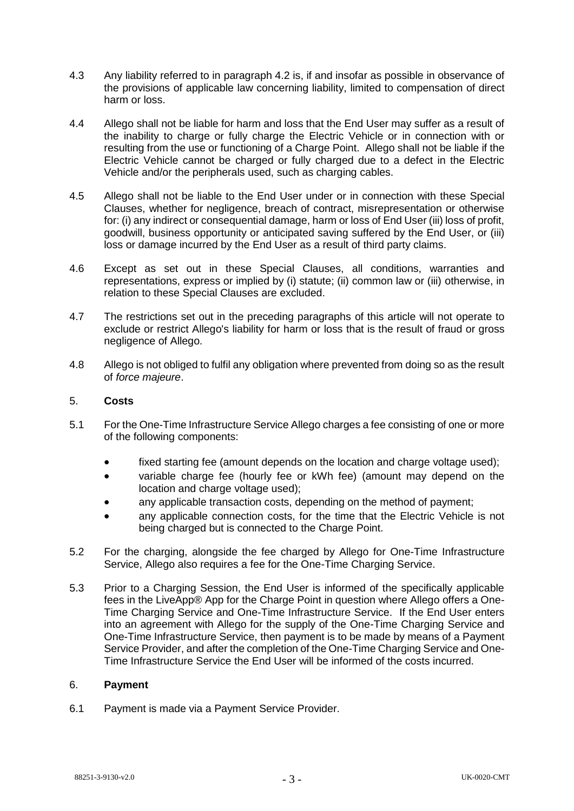- 4.3 Any liability referred to in paragraph [4.2](#page-1-0) is, if and insofar as possible in observance of the provisions of applicable law concerning liability, limited to compensation of direct harm or loss.
- 4.4 Allego shall not be liable for harm and loss that the End User may suffer as a result of the inability to charge or fully charge the Electric Vehicle or in connection with or resulting from the use or functioning of a Charge Point. Allego shall not be liable if the Electric Vehicle cannot be charged or fully charged due to a defect in the Electric Vehicle and/or the peripherals used, such as charging cables.
- 4.5 Allego shall not be liable to the End User under or in connection with these Special Clauses, whether for negligence, breach of contract, misrepresentation or otherwise for: (i) any indirect or consequential damage, harm or loss of End User (iii) loss of profit, goodwill, business opportunity or anticipated saving suffered by the End User, or (iii) loss or damage incurred by the End User as a result of third party claims.
- 4.6 Except as set out in these Special Clauses, all conditions, warranties and representations, express or implied by (i) statute; (ii) common law or (iii) otherwise, in relation to these Special Clauses are excluded.
- 4.7 The restrictions set out in the preceding paragraphs of this article will not operate to exclude or restrict Allego's liability for harm or loss that is the result of fraud or gross negligence of Allego.
- 4.8 Allego is not obliged to fulfil any obligation where prevented from doing so as the result of *force majeure*.

# 5. **Costs**

- 5.1 For the One-Time Infrastructure Service Allego charges a fee consisting of one or more of the following components:
	- fixed starting fee (amount depends on the location and charge voltage used):
	- variable charge fee (hourly fee or kWh fee) (amount may depend on the location and charge voltage used);
	- any applicable transaction costs, depending on the method of payment;
	- any applicable connection costs, for the time that the Electric Vehicle is not being charged but is connected to the Charge Point.
- 5.2 For the charging, alongside the fee charged by Allego for One-Time Infrastructure Service, Allego also requires a fee for the One-Time Charging Service.
- 5.3 Prior to a Charging Session, the End User is informed of the specifically applicable fees in the LiveApp® App for the Charge Point in question where Allego offers a One-Time Charging Service and One-Time Infrastructure Service. If the End User enters into an agreement with Allego for the supply of the One-Time Charging Service and One-Time Infrastructure Service, then payment is to be made by means of a Payment Service Provider, and after the completion of the One-Time Charging Service and One-Time Infrastructure Service the End User will be informed of the costs incurred.

#### 6. **Payment**

6.1 Payment is made via a Payment Service Provider.